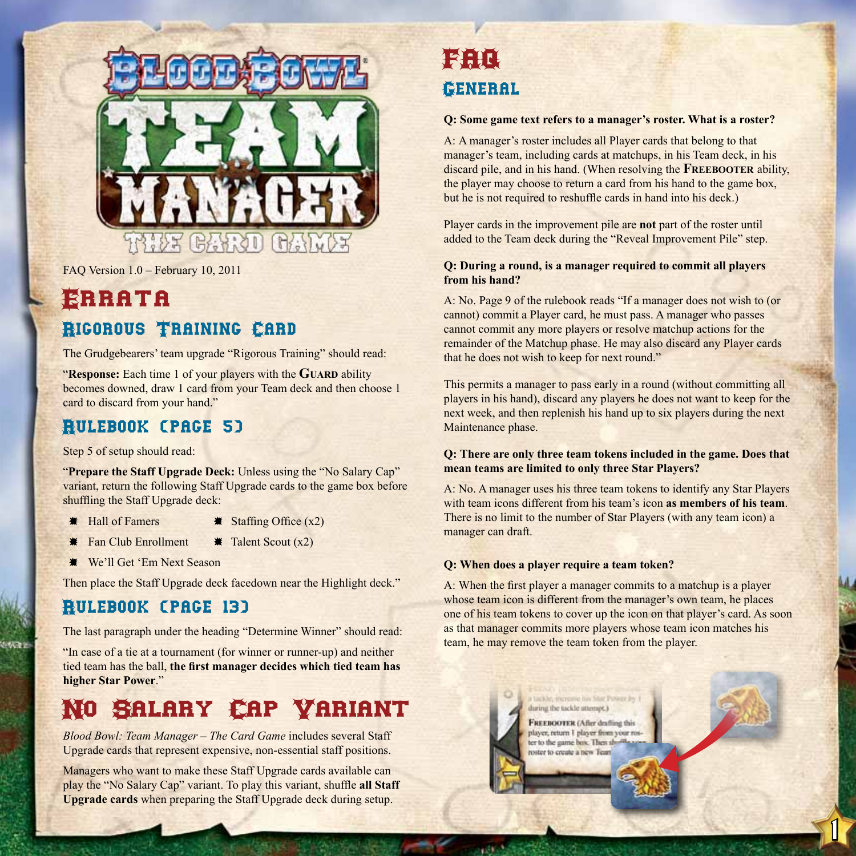

FAQ Version 1.0 – February 10, 2011

## Errata Rigorous Training Card

The Grudgebearers' team upgrade "Rigorous Training" should read:

"**Response:** Each time 1 of your players with the **Guard** ability becomes downed, draw 1 card from your Team deck and then choose 1 card to discard from your hand."

## Rulebook (page 5)

Step 5 of setup should read:

"**Prepare the Staff Upgrade Deck:** Unless using the "No Salary Cap" variant, return the following Staff Upgrade cards to the game box before shuffling the Staff Upgrade deck:

- 
- $\text{Hall of Fammers}$   $\text{Staffing Office (x2)}$
- $\textbf{\textit{∗}}$  Fan Club Enrollment  $\textbf{\textit{∗}}$  Talent Scout (x2)
- **We'll Get 'Em Next Season**

Then place the Staff Upgrade deck facedown near the Highlight deck."

## Rulebook (page 13)

The last paragraph under the heading "Determine Winner" should read:

"In case of a tie at a tournament (for winner or runner-up) and neither tied team has the ball, **the first manager decides which tied team has higher Star Power**."

# No Salary Cap Variant

*Blood Bowl: Team Manager – The Card Game* includes several Staff Upgrade cards that represent expensive, non-essential staff positions.

Managers who want to make these Staff Upgrade cards available can play the "No Salary Cap" variant. To play this variant, shuffle **all Staff Upgrade cards** when preparing the Staff Upgrade deck during setup.

# FAQ General

#### **Q: Some game text refers to a manager's roster. What is a roster?**

A: A manager's roster includes all Player cards that belong to that manager's team, including cards at matchups, in his Team deck, in his discard pile, and in his hand. (When resolving the **Freebooter** ability, the player may choose to return a card from his hand to the game box, but he is not required to reshuffle cards in hand into his deck.)

Player cards in the improvement pile are **not** part of the roster until added to the Team deck during the "Reveal Improvement Pile" step.

#### **Q: During a round, is a manager required to commit all players from his hand?**

A: No. Page 9 of the rulebook reads "If a manager does not wish to (or cannot) commit a Player card, he must pass. A manager who passes cannot commit any more players or resolve matchup actions for the remainder of the Matchup phase. He may also discard any Player cards that he does not wish to keep for next round."

This permits a manager to pass early in a round (without committing all players in his hand), discard any players he does not want to keep for the next week, and then replenish his hand up to six players during the next Maintenance phase.

#### **Q: There are only three team tokens included in the game. Does that mean teams are limited to only three Star Players?**

A: No. A manager uses his three team tokens to identify any Star Players with team icons different from his team's icon **as members of his team**. There is no limit to the number of Star Players (with any team icon) a manager can draft.

#### **Q: When does a player require a team token?**

A: When the first player a manager commits to a matchup is a player whose team icon is different from the manager's own team, he places one of his team tokens to cover up the icon on that player's card. As soon as that manager commits more players whose team icon matches his team, he may remove the team token from the player.



 $\mathfrak l$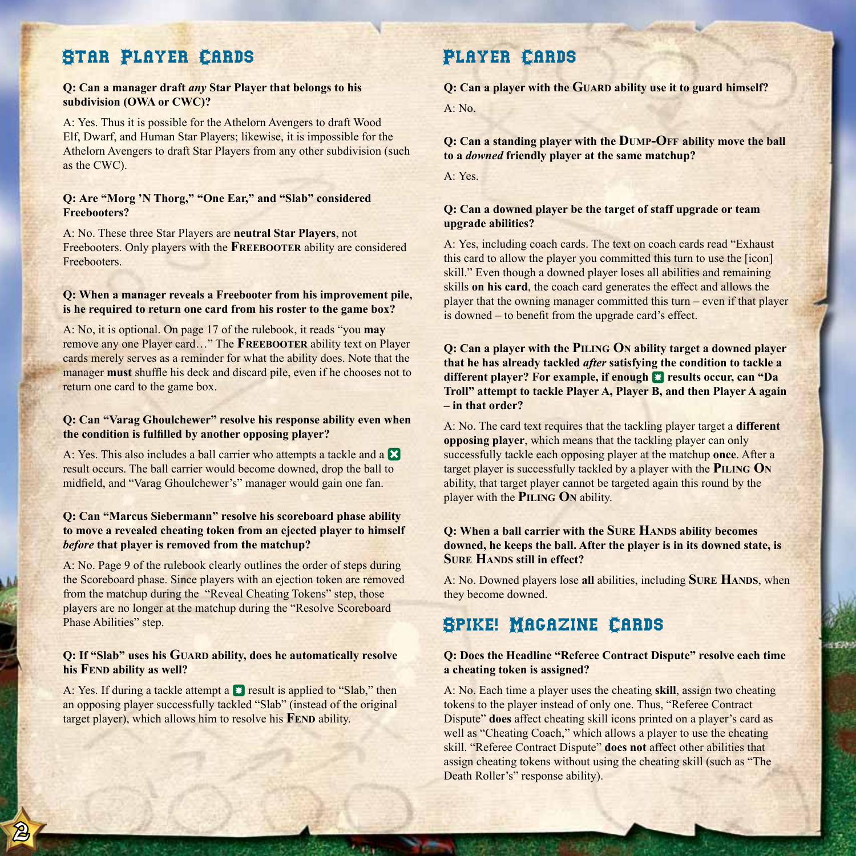## Star Player Cards

#### **Q: Can a manager draft** *any* **Star Player that belongs to his subdivision (OWA or CWC)?**

A: Yes. Thus it is possible for the Athelorn Avengers to draft Wood Elf, Dwarf, and Human Star Players; likewise, it is impossible for the Athelorn Avengers to draft Star Players from any other subdivision (such as the CWC).

#### **Q: Are "Morg 'N Thorg," "One Ear," and "Slab" considered Freebooters?**

A: No. These three Star Players are **neutral Star Players**, not Freebooters. Only players with the **Freebooter** ability are considered Freebooters.

#### **Q: When a manager reveals a Freebooter from his improvement pile, is he required to return one card from his roster to the game box?**

A: No, it is optional. On page 17 of the rulebook, it reads "you **may** remove any one Player card…" The **Freebooter** ability text on Player cards merely serves as a reminder for what the ability does. Note that the manager **must** shuffle his deck and discard pile, even if he chooses not to return one card to the game box.

#### **Q: Can "Varag Ghoulchewer" resolve his response ability even when the condition is fulfilled by another opposing player?**

A: Yes. This also includes a ball carrier who attempts a tackle and a  $\boxtimes$ result occurs. The ball carrier would become downed, drop the ball to midfield, and "Varag Ghoulchewer's" manager would gain one fan.

#### **Q: Can "Marcus Siebermann" resolve his scoreboard phase ability to move a revealed cheating token from an ejected player to himself**  *before* **that player is removed from the matchup?**

A: No. Page 9 of the rulebook clearly outlines the order of steps during the Scoreboard phase. Since players with an ejection token are removed from the matchup during the "Reveal Cheating Tokens" step, those players are no longer at the matchup during the "Resolve Scoreboard Phase Abilities" step.

#### **Q: If "Slab" uses his GUARD ability, does he automatically resolve his Fend ability as well?**

A: Yes. If during a tackle attempt a  $\Box$  result is applied to "Slab," then an opposing player successfully tackled "Slab" (instead of the original target player), which allows him to resolve his **FEND** ability.

 $\bigcirc$ 

## Player Cards

**Q: Can a player with the Guard ability use it to guard himself?**

A: No.

**Q: Can a standing player with the Dump-Off ability move the ball to a** *downed* **friendly player at the same matchup?**

A: Yes.

#### **Q: Can a downed player be the target of staff upgrade or team upgrade abilities?**

A: Yes, including coach cards. The text on coach cards read "Exhaust this card to allow the player you committed this turn to use the [icon] skill." Even though a downed player loses all abilities and remaining skills **on his card**, the coach card generates the effect and allows the player that the owning manager committed this turn – even if that player is downed – to benefit from the upgrade card's effect.

**Q: Can a player with the Piling On ability target a downed player that he has already tackled** *after* **satisfying the condition to tackle a different player? For example, if enough <b>E** results occur, can "Da **Troll" attempt to tackle Player A, Player B, and then Player A again – in that order?**

A: No. The card text requires that the tackling player target a **different opposing player**, which means that the tackling player can only successfully tackle each opposing player at the matchup **once**. After a target player is successfully tackled by a player with the **PILING** ON ability, that target player cannot be targeted again this round by the player with the **Piling On** ability.

#### **Q: When a ball carrier with the SURE HANDS ability becomes downed, he keeps the ball. After the player is in its downed state, is SURE HANDS** still in effect?

A: No. Downed players lose all abilities, including **SURE HANDS**, when they become downed.

### Spike! Magazine Cards

#### **Q: Does the Headline "Referee Contract Dispute" resolve each time a cheating token is assigned?**

1957)

A: No. Each time a player uses the cheating **skill**, assign two cheating tokens to the player instead of only one. Thus, "Referee Contract Dispute" **does** affect cheating skill icons printed on a player's card as well as "Cheating Coach," which allows a player to use the cheating skill. "Referee Contract Dispute" **does not** affect other abilities that assign cheating tokens without using the cheating skill (such as "The Death Roller's" response ability).